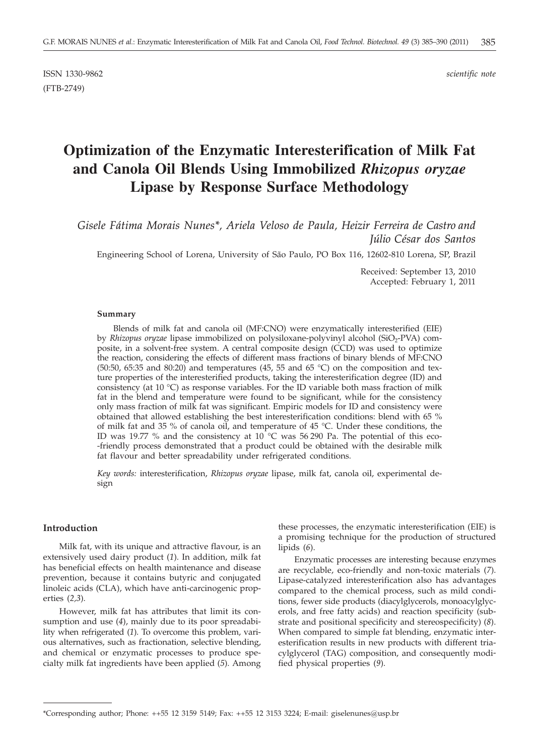ISSN 1330-9862 *scientific note* (FTB-2749)

# **Optimization of the Enzymatic Interesterification of Milk Fat and Canola Oil Blends Using Immobilized** *Rhizopus oryzae* **Lipase by Response Surface Methodology**

*Gisele Fátima Morais Nunes\*, Ariela Veloso de Paula, Heizir Ferreira de Castro and Júlio César dos Santos*

Engineering School of Lorena, University of São Paulo, PO Box 116, 12602-810 Lorena, SP, Brazil

Received: September 13, 2010 Accepted: February 1, 2011

#### **Summary**

Blends of milk fat and canola oil (MF:CNO) were enzymatically interesterified (EIE) by *Rhizopus oryzae* lipase immobilized on polysiloxane-polyvinyl alcohol (SiO<sub>2</sub>-PVA) composite, in a solvent-free system. A central composite design (CCD) was used to optimize the reaction, considering the effects of different mass fractions of binary blends of MF:CNO (50:50, 65:35 and 80:20) and temperatures (45, 55 and 65 °C) on the composition and texture properties of the interesterified products, taking the interesterification degree (ID) and consistency (at 10  $^{\circ}$ C) as response variables. For the ID variable both mass fraction of milk fat in the blend and temperature were found to be significant, while for the consistency only mass fraction of milk fat was significant. Empiric models for ID and consistency were obtained that allowed establishing the best interesterification conditions: blend with 65 % of milk fat and 35 % of canola oil, and temperature of 45 °C. Under these conditions, the ID was 19.77 % and the consistency at 10  $^{\circ}$ C was 56 290 Pa. The potential of this eco--friendly process demonstrated that a product could be obtained with the desirable milk fat flavour and better spreadability under refrigerated conditions.

*Key words:* interesterification, *Rhizopus oryzae* lipase, milk fat, canola oil, experimental design

#### **Introduction**

Milk fat, with its unique and attractive flavour, is an extensively used dairy product (*1*). In addition, milk fat has beneficial effects on health maintenance and disease prevention, because it contains butyric and conjugated linoleic acids (CLA), which have anti-carcinogenic properties (*2,3*).

However, milk fat has attributes that limit its consumption and use (*4*), mainly due to its poor spreadability when refrigerated (*1*). To overcome this problem, various alternatives, such as fractionation, selective blending, and chemical or enzymatic processes to produce specialty milk fat ingredients have been applied (*5*). Among

these processes, the enzymatic interesterification (EIE) is a promising technique for the production of structured lipids (*6*).

Enzymatic processes are interesting because enzymes are recyclable, eco-friendly and non-toxic materials (*7*). Lipase-catalyzed interesterification also has advantages compared to the chemical process, such as mild conditions, fewer side products (diacylglycerols, monoacylglycerols, and free fatty acids) and reaction specificity (substrate and positional specificity and stereospecificity) (*8*). When compared to simple fat blending, enzymatic interesterification results in new products with different triacylglycerol (TAG) composition, and consequently modified physical properties (*9*).

<sup>\*</sup>Corresponding author; Phone: ++55 12 3159 5149; Fax: ++55 12 3153 3224; E-mail: giselenunes@usp.br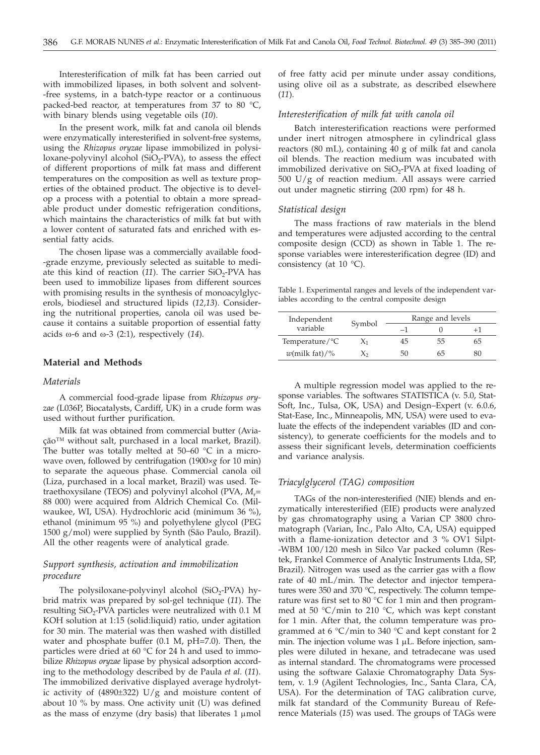Interesterification of milk fat has been carried out with immobilized lipases, in both solvent and solvent--free systems, in a batch-type reactor or a continuous packed-bed reactor, at temperatures from 37 to 80 °C, with binary blends using vegetable oils (*10*).

In the present work, milk fat and canola oil blends were enzymatically interesterified in solvent-free systems, using the *Rhizopus oryzae* lipase immobilized in polysiloxane-polyvinyl alcohol (SiO<sub>2</sub>-PVA), to assess the effect of different proportions of milk fat mass and different temperatures on the composition as well as texture properties of the obtained product. The objective is to develop a process with a potential to obtain a more spreadable product under domestic refrigeration conditions, which maintains the characteristics of milk fat but with a lower content of saturated fats and enriched with essential fatty acids.

The chosen lipase was a commercially available food- -grade enzyme, previously selected as suitable to mediate this kind of reaction  $(11)$ . The carrier SiO<sub>2</sub>-PVA has been used to immobilize lipases from different sources with promising results in the synthesis of monoacylglycerols, biodiesel and structured lipids (*12*,*13*). Considering the nutritional properties, canola oil was used because it contains a suitable proportion of essential fatty acids  $\omega$ -6 and  $\omega$ -3 (2:1), respectively (14).

## **Material and Methods**

#### *Materials*

A commercial food-grade lipase from *Rhizopus oryzae* (L036P, Biocatalysts, Cardiff, UK) in a crude form was used without further purification.

Milk fat was obtained from commercial butter (Aviação™ without salt, purchased in a local market, Brazil). The butter was totally melted at 50–60  $^{\circ}$ C in a microwave oven, followed by centrifugation (1900×*g* for 10 min) to separate the aqueous phase. Commercial canola oil (Liza, purchased in a local market, Brazil) was used. Tetraethoxysilane (TEOS) and polyvinyl alcohol (PVA,  $M_r$ = 88 000) were acquired from Aldrich Chemical Co. (Milwaukee, WI, USA). Hydrochloric acid (minimum 36 %), ethanol (minimum 95 %) and polyethylene glycol (PEG 1500 g/mol) were supplied by Synth (São Paulo, Brazil). All the other reagents were of analytical grade.

# *Support synthesis, activation and immobilization procedure*

The polysiloxane-polyvinyl alcohol  $(SiO<sub>2</sub>-PVA)$  hybrid matrix was prepared by sol-gel technique (*11*). The resulting  $SiO<sub>2</sub>-PVA$  particles were neutralized with 0.1 M KOH solution at 1:15 (solid:liquid) ratio, under agitation for 30 min. The material was then washed with distilled water and phosphate buffer (0.1 M, pH=7.0). Then, the particles were dried at 60 °C for 24 h and used to immobilize *Rhizopus oryzae* lipase by physical adsorption according to the methodology described by de Paula *et al*. (*11*). The immobilized derivative displayed average hydrolytic activity of (4890±322) U/g and moisture content of about 10 % by mass. One activity unit (U) was defined as the mass of enzyme (dry basis) that liberates  $1 \mu$ mol

of free fatty acid per minute under assay conditions, using olive oil as a substrate, as described elsewhere (*11*).

#### *Interesterification of milk fat with canola oil*

Batch interesterification reactions were performed under inert nitrogen atmosphere in cylindrical glass reactors (80 mL), containing 40 g of milk fat and canola oil blends. The reaction medium was incubated with immobilized derivative on  $SiO<sub>2</sub>$ -PVA at fixed loading of 500 U/g of reaction medium. All assays were carried out under magnetic stirring (200 rpm) for 48 h.

## *Statistical design*

The mass fractions of raw materials in the blend and temperatures were adjusted according to the central composite design (CCD) as shown in Table 1. The response variables were interesterification degree (ID) and consistency (at  $10^{\circ}$ C).

Table 1. Experimental ranges and levels of the independent variables according to the central composite design

| Independent                   | Symbol | Range and levels |    |    |  |
|-------------------------------|--------|------------------|----|----|--|
| variable                      |        |                  |    |    |  |
| Temperature/ $\rm{^{\circ}C}$ |        | 45               | 55 | 65 |  |
| $w$ (milk fat)/%              |        |                  | 65 |    |  |

A multiple regression model was applied to the response variables. The softwares STATISTICA (v. 5.0, Stat-Soft, Inc., Tulsa, OK, USA) and Design–Expert (v. 6.0.6, Stat-Ease, Inc., Minneapolis, MN, USA) were used to evaluate the effects of the independent variables (ID and consistency), to generate coefficients for the models and to assess their significant levels, determination coefficients and variance analysis.

#### *Triacylglycerol (TAG) composition*

TAGs of the non-interesterified (NIE) blends and enzymatically interesterified (EIE) products were analyzed by gas chromatography using a Varian CP 3800 chromatograph (Varian, Inc., Palo Alto, CA, USA) equipped with a flame-ionization detector and 3 % OV1 Silpt- -WBM 100/120 mesh in Silco Var packed column (Restek, Frankel Commerce of Analytic Instruments Ltda, SP, Brazil). Nitrogen was used as the carrier gas with a flow rate of 40 mL/min. The detector and injector temperatures were 350 and 370 °C, respectively. The column temperature was first set to 80  $\degree$ C for 1 min and then programmed at 50 °C/min to 210 °C, which was kept constant for 1 min. After that, the column temperature was programmed at  $6 \degree C$ /min to 340  $\degree C$  and kept constant for 2 min. The injection volume was  $1 \mu L$ . Before injection, samples were diluted in hexane, and tetradecane was used as internal standard. The chromatograms were processed using the software Galaxie Chromatography Data System, v. 1.9 (Agilent Technologies, Inc., Santa Clara, CA, USA). For the determination of TAG calibration curve, milk fat standard of the Community Bureau of Reference Materials (*15*) was used. The groups of TAGs were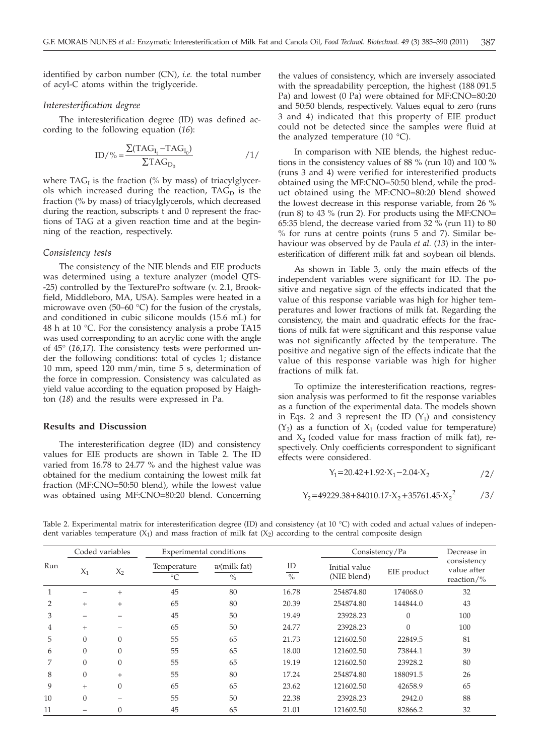identified by carbon number (CN), *i.e.* the total number of acyl-C atoms within the triglyceride.

# *Interesterification degree*

The interesterification degree (ID) was defined according to the following equation (*16*):

$$
ID/\% = \frac{\Sigma (TAG_{I_t} - TAG_{I_0})}{\Sigma TAG_{D_0}}
$$

where  $TAG_{I}$  is the fraction (% by mass) of triacylglycerols which increased during the reaction,  $TAG<sub>D</sub>$  is the fraction (% by mass) of triacylglycerols, which decreased during the reaction, subscripts t and 0 represent the fractions of TAG at a given reaction time and at the beginning of the reaction, respectively.

#### *Consistency tests*

The consistency of the NIE blends and EIE products was determined using a texture analyzer (model QTS- -25) controlled by the TexturePro software (v. 2.1, Brookfield, Middleboro, MA, USA). Samples were heated in a microwave oven (50–60 °C) for the fusion of the crystals, and conditioned in cubic silicone moulds (15.6 mL) for 48 h at 10 °C. For the consistency analysis a probe TA15 was used corresponding to an acrylic cone with the angle of 45° (*16,17*). The consistency tests were performed under the following conditions: total of cycles 1; distance 10 mm, speed 120 mm/min, time 5 s, determination of the force in compression. Consistency was calculated as yield value according to the equation proposed by Haighton (*18*) and the results were expressed in Pa.

# **Results and Discussion**

The interesterification degree (ID) and consistency values for EIE products are shown in Table 2. The ID varied from 16.78 to 24.77 % and the highest value was obtained for the medium containing the lowest milk fat fraction (MF:CNO=50:50 blend), while the lowest value was obtained using MF:CNO=80:20 blend. Concerning

the values of consistency, which are inversely associated with the spreadability perception, the highest (188 091.5 Pa) and lowest (0 Pa) were obtained for MF:CNO=80:20 and 50:50 blends, respectively. Values equal to zero (runs 3 and 4) indicated that this property of EIE product could not be detected since the samples were fluid at the analyzed temperature (10  $^{\circ}$ C).

In comparison with NIE blends, the highest reductions in the consistency values of 88 % (run 10) and 100 % (runs 3 and 4) were verified for interesterified products obtained using the MF:CNO=50:50 blend, while the product obtained using the MF:CNO=80:20 blend showed the lowest decrease in this response variable, from 26 % (run 8) to 43  $\%$  (run 2). For products using the MF:CNO= 65:35 blend, the decrease varied from 32 % (run 11) to 80 % for runs at centre points (runs 5 and 7). Similar behaviour was observed by de Paula *et al.* (*13*) in the interesterification of different milk fat and soybean oil blends.

As shown in Table 3, only the main effects of the independent variables were significant for ID. The positive and negative sign of the effects indicated that the value of this response variable was high for higher temperatures and lower fractions of milk fat. Regarding the consistency, the main and quadratic effects for the fractions of milk fat were significant and this response value was not significantly affected by the temperature. The positive and negative sign of the effects indicate that the value of this response variable was high for higher fractions of milk fat.

To optimize the interesterification reactions, regression analysis was performed to fit the response variables as a function of the experimental data. The models shown in Eqs. 2 and 3 represent the ID  $(Y_1)$  and consistency  $(Y_2)$  as a function of  $X_1$  (coded value for temperature) and  $X_2$  (coded value for mass fraction of milk fat), respectively. Only coefficients correspondent to significant effects were considered.

$$
Y_1 = 20.42 + 1.92 \cdot X_1 - 2.04 \cdot X_2 \tag{2}
$$

$$
Y_2 = 49229.38 + 84010.17 \cdot X_2 + 35761.45 \cdot X_2^2 \qquad \qquad /3/
$$

|     |          | Coded variables | Experimental conditions        |                        |                     | Consistency/Pa               |             | Decrease in                              |
|-----|----------|-----------------|--------------------------------|------------------------|---------------------|------------------------------|-------------|------------------------------------------|
| Run | $X_1$    | $X_2$           | Temperature<br>$\rm ^{\circ}C$ | $w$ (milk fat)<br>$\%$ | ID<br>$\frac{0}{6}$ | Initial value<br>(NIE blend) | EIE product | consistency<br>value after<br>reaction/% |
|     |          | $+$             | 45                             | 80                     | 16.78               | 254874.80                    | 174068.0    | 32                                       |
| 2   | $+$      | $^{+}$          | 65                             | 80                     | 20.39               | 254874.80                    | 144844.0    | 43                                       |
| 3   |          |                 | 45                             | 50                     | 19.49               | 23928.23                     | $\theta$    | 100                                      |
| 4   | $^{+}$   |                 | 65                             | 50                     | 24.77               | 23928.23                     | $\theta$    | 100                                      |
| 5   | $\theta$ | $\overline{0}$  | 55                             | 65                     | 21.73               | 121602.50                    | 22849.5     | 81                                       |
| 6   | $\theta$ | $\overline{0}$  | 55                             | 65                     | 18.00               | 121602.50                    | 73844.1     | 39                                       |
| 7   | $\Omega$ | $\theta$        | 55                             | 65                     | 19.19               | 121602.50                    | 23928.2     | 80                                       |
| 8   | $\Omega$ | $+$             | 55                             | 80                     | 17.24               | 254874.80                    | 188091.5    | 26                                       |
| 9   | $^{+}$   | $\theta$        | 65                             | 65                     | 23.62               | 121602.50                    | 42658.9     | 65                                       |
| 10  | $\theta$ |                 | 55                             | 50                     | 22.38               | 23928.23                     | 2942.0      | 88                                       |
| 11  |          | 0               | 45                             | 65                     | 21.01               | 121602.50                    | 82866.2     | 32                                       |

Table 2. Experimental matrix for interesterification degree (ID) and consistency (at 10 °C) with coded and actual values of independent variables temperature  $(X_1)$  and mass fraction of milk fat  $(X_2)$  according to the central composite design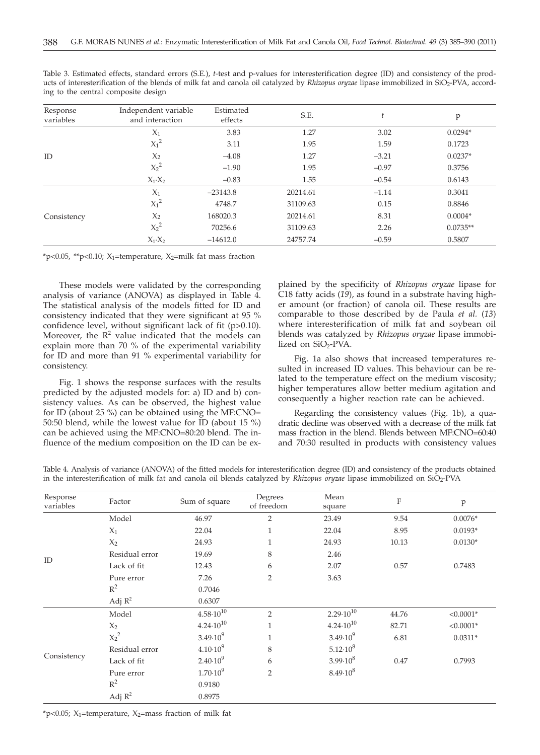| Response<br>variables | Independent variable<br>and interaction | Estimated<br>effects | S.E.     |         | p          |
|-----------------------|-----------------------------------------|----------------------|----------|---------|------------|
|                       | $X_1$                                   | 3.83                 | 1.27     | 3.02    | $0.0294*$  |
|                       | $X_1^2$                                 | 3.11                 | 1.95     | 1.59    | 0.1723     |
| ID                    | $X_2$                                   | $-4.08$              | 1.27     | $-3.21$ | $0.0237*$  |
|                       | $X_2^2$                                 | $-1.90$              | 1.95     | $-0.97$ | 0.3756     |
|                       | $X_1 \cdot X_2$                         | $-0.83$              | 1.55     | $-0.54$ | 0.6143     |
| Consistency           | $X_1$                                   | $-23143.8$           | 20214.61 | $-1.14$ | 0.3041     |
|                       | $X_1^2$                                 | 4748.7               | 31109.63 | 0.15    | 0.8846     |
|                       | $X_2$                                   | 168020.3             | 20214.61 | 8.31    | $0.0004*$  |
|                       | $X_2^2$                                 | 70256.6              | 31109.63 | 2.26    | $0.0735**$ |
|                       | $X_1 \cdot X_2$                         | $-14612.0$           | 24757.74 | $-0.59$ | 0.5807     |

Table 3. Estimated effects, standard errors (S.E.), *t-*test and p-values for interesterification degree (ID) and consistency of the products of interesterification of the blends of milk fat and canola oil catalyzed by *Rhizopus oryzae* lipase immobilized in SiO2-PVA, according to the central composite design

 $*p<0.05$ ,  $*p<0.10$ ; X<sub>1</sub>=temperature, X<sub>2</sub>=milk fat mass fraction

These models were validated by the corresponding analysis of variance (ANOVA) as displayed in Table 4. The statistical analysis of the models fitted for ID and consistency indicated that they were significant at 95 % confidence level, without significant lack of fit (p>0.10). Moreover, the  $R^2$  value indicated that the models can explain more than 70 % of the experimental variability for ID and more than 91 % experimental variability for consistency.

Fig. 1 shows the response surfaces with the results predicted by the adjusted models for: a) ID and b) consistency values. As can be observed, the highest value for ID (about 25 %) can be obtained using the MF:CNO= 50:50 blend, while the lowest value for ID (about 15 %) can be achieved using the MF:CNO=80:20 blend. The influence of the medium composition on the ID can be explained by the specificity of *Rhizopus oryzae* lipase for C18 fatty acids (*19*), as found in a substrate having higher amount (or fraction) of canola oil. These results are comparable to those described by de Paula *et al.* (*13*) where interesterification of milk fat and soybean oil blends was catalyzed by *Rhizopus oryzae* lipase immobilized on SiO<sub>2</sub>-PVA.

Fig. 1a also shows that increased temperatures resulted in increased ID values. This behaviour can be related to the temperature effect on the medium viscosity; higher temperatures allow better medium agitation and consequently a higher reaction rate can be achieved.

Regarding the consistency values (Fig. 1b), a quadratic decline was observed with a decrease of the milk fat mass fraction in the blend. Blends between MF:CNO=60:40 and 70:30 resulted in products with consistency values

| Table 4. Analysis of variance (ANOVA) of the fitted models for interesterification degree (ID) and consistency of the products obtained |  |  |
|-----------------------------------------------------------------------------------------------------------------------------------------|--|--|
| in the interesterification of milk fat and canola oil blends catalyzed by Rhizopus oryzae lipase immobilized on SiO2-PVA                |  |  |

| Response<br>variables | Factor         | Sum of square        | Degrees<br>of freedom | Mean<br>square       | $\rm F$ | $\mathbf{p}$ |
|-----------------------|----------------|----------------------|-----------------------|----------------------|---------|--------------|
|                       | Model          | 46.97                | $\overline{2}$        | 23.49                | 9.54    | $0.0076*$    |
|                       | $X_1$          | 22.04                | 1                     | 22.04                | 8.95    | $0.0193*$    |
|                       | $X_2$          | 24.93                | 1                     | 24.93                | 10.13   | $0.0130*$    |
|                       | Residual error | 19.69                | 8                     | 2.46                 |         |              |
| ID                    | Lack of fit    | 12.43                | 6                     | 2.07                 | 0.57    | 0.7483       |
|                       | Pure error     | 7.26                 | $\overline{2}$        | 3.63                 |         |              |
|                       | $R^2$          | 0.7046               |                       |                      |         |              |
|                       | Adj $R^2$      | 0.6307               |                       |                      |         |              |
| Consistency           | Model          | $4.58 \cdot 10^{10}$ | $\overline{2}$        | $2.29 \cdot 10^{10}$ | 44.76   | $< 0.0001*$  |
|                       | $X_2$          | $4.24 \cdot 10^{10}$ | $\mathbf{1}$          | $4.24 \cdot 10^{10}$ | 82.71   | $< 0.0001*$  |
|                       | $X_2^2$        | $3.49 \cdot 10^{9}$  | $\mathbf{1}$          | $3.49 \cdot 10^{9}$  | 6.81    | $0.0311*$    |
|                       | Residual error | $4.10 \cdot 10^{9}$  | 8                     | $5.12 \cdot 10^8$    |         |              |
|                       | Lack of fit    | $2.40 \cdot 10^{9}$  | 6                     | $3.99 \cdot 10^8$    | 0.47    | 0.7993       |
|                       | Pure error     | $1.70 \cdot 10^{9}$  | $\overline{2}$        | $8.49 \cdot 10^8$    |         |              |
|                       | $R^2$          | 0.9180               |                       |                      |         |              |
|                       | Adj $R^2$      | 0.8975               |                       |                      |         |              |

 $*p<0.05$ ; X<sub>1</sub>=temperature, X<sub>2</sub>=mass fraction of milk fat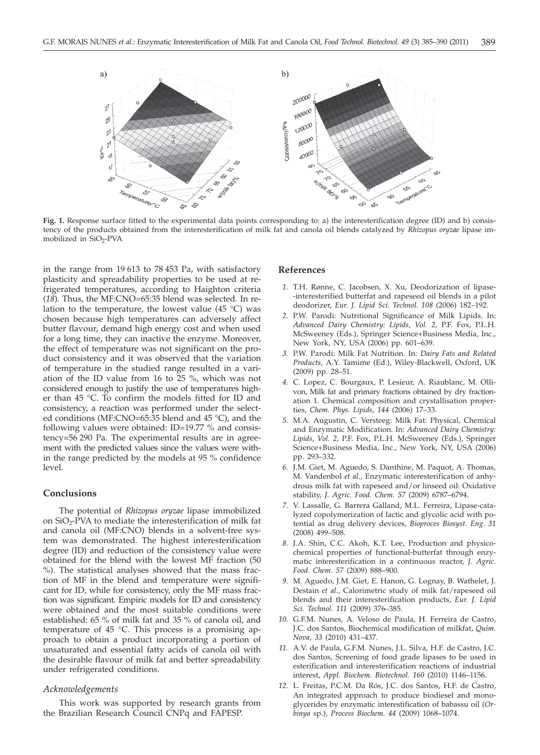

Fig. 1. Response surface fitted to the experimental data points corresponding to: a) the interesterification degree (ID) and b) consistency of the products obtained from the interesterification of milk fat and canola oil blends catalyzed by *Rhizopus oryzae* lipase immobilized in SiO<sub>2</sub>-PVA

in the range from 19 613 to 78 453 Pa, with satisfactory plasticity and spreadability properties to be used at refrigerated temperatures, according to Haighton criteria (*18*). Thus, the MF:CNO=65:35 blend was selected. In relation to the temperature, the lowest value  $(45 \degree C)$  was chosen because high temperatures can adversely affect butter flavour, demand high energy cost and when used for a long time, they can inactive the enzyme. Moreover, the effect of temperature was not significant on the product consistency and it was observed that the variation of temperature in the studied range resulted in a variation of the ID value from 16 to 25 %, which was not considered enough to justify the use of temperatures higher than 45 °C. To confirm the models fitted for ID and consistency, a reaction was performed under the selected conditions (MF:CNO=65:35 blend and 45 °C), and the following values were obtained: ID=19.77 % and consistency=56 290 Pa. The experimental results are in agreement with the predicted values since the values were within the range predicted by the models at 95 % confidence level.

# **Conclusions**

The potential of *Rhizopus oryzae* lipase immobilized on SiO<sub>2</sub>-PVA to mediate the interesterification of milk fat and canola oil (MF:CNO) blends in a solvent-free system was demonstrated. The highest interesterification degree (ID) and reduction of the consistency value were obtained for the blend with the lowest MF fraction (50 %). The statistical analyses showed that the mass fraction of MF in the blend and temperature were significant for ID, while for consistency, only the MF mass fraction was significant. Empiric models for ID and consistency were obtained and the most suitable conditions were established: 65 % of milk fat and 35 % of canola oil, and temperature of 45 °C. This process is a promising approach to obtain a product incorporating a portion of unsaturated and essential fatty acids of canola oil with the desirable flavour of milk fat and better spreadability under refrigerated conditions.

## *Acknowledgements*

This work was supported by research grants from the Brazilian Research Council CNPq and FAPESP.

#### **References**

- *1.* T.H. Rønne, C. Jacobsen, X. Xu, Deodorization of lipase- -interesterified butterfat and rapeseed oil blends in a pilot deodorizer, *Eur. J. Lipid Sci. Technol. 108* (2006) 182–192.
- *2.* P.W. Parodi: Nutritional Significance of Milk Lipids. In: *Advanced Dairy Chemistry: Lipids*, *Vol. 2,* P.F. Fox, P.L.H. McSweeney (Eds.), Springer Science+Business Media, Inc., New York, NY, USA (2006) pp. 601–639.
- *3.* P.W. Parodi: Milk Fat Nutrition. In: *Dairy Fats and Related Products,* A.Y. Tamime (Ed.), Wiley-Blackwell, Oxford, UK (2009) pp. 28–51.
- *4.* C. Lopez, C. Bourgaux, P. Lesieur, A. Riaublanc, M. Ollivon, Milk fat and primary fractions obtained by dry fractionation 1. Chemical composition and crystallisation properties, *Chem. Phys. Lipids*, *144* (2006) 17–33.
- *5.* M.A. Augustin, C. Versteeg: Milk Fat: Physical, Chemical and Enzymatic Modification. In: *Advanced Dairy Chemistry: Lipids, Vol. 2,* P.F. Fox, P.L.H. McSweeney (Eds.), Springer Science+Business Media, Inc., New York, NY, USA (2006) pp. 293–332.
- *6.* J.M. Giet, M. Aguedo, S. Danthine, M. Paquot, A. Thomas, M. Vandenbol *et al.*, Enzymatic interesterification of anhydrous milk fat with rapeseed and/or linseed oil: Oxidative stability, *J. Agric. Food. Chem. 57* (2009) 6787–6794.
- *7.* V. Lassalle, G. Barrera Galland, M.L. Ferreira, Lipase-catalyzed copolymerization of lactic and glycolic acid with potential as drug delivery devices, *Bioproces Biosyst. Eng*. *31* (2008) 499–508.
- *8.* J.A. Shin, C.C. Akoh, K.T. Lee, Production and physicochemical properties of functional-butterfat through enzymatic interesterification in a continuous reactor, *J. Agric. Food. Chem. 57* (2009) 888–900.
- *9.* M. Aguedo, J.M. Giet, E. Hanon, G. Lognay, B. Wathelet, J. Destain *et al*., Calorimetric study of milk fat/rapeseed oil blends and their interesterification products, *Eur. J. Lipid Sci. Technol. 111* (2009) 376–385.
- *10.* G.F.M. Nunes, A. Veloso de Paula, H. Ferreira de Castro, J.C. dos Santos, Biochemical modification of milkfat, *Quim. Nova*, *33* (2010) 431–437.
- *11.* A.V. de Paula, G.F.M. Nunes, J.L. Silva, H.F. de Castro, J.C. dos Santos, Screening of food grade lipases to be used in esterification and interesterification reactions of industrial interest, *Appl. Biochem. Biotechnol. 160* (2010) 1146–1156.
- *12.* L. Freitas, P.C.M. Da Rós, J.C. dos Santos, H.F. de Castro, An integrated approach to produce biodiesel and monoglycerides by enzymatic interestification of babassu oil (*Orbinya* sp.), *Process Biochem. 44* (2009) 1068–1074.